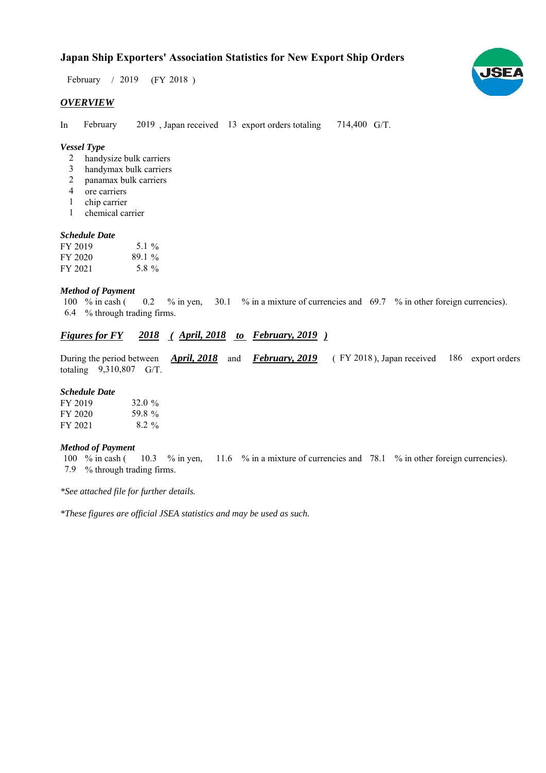# **Japan Ship Exporters' Association Statistics for New Export Ship Orders**

 $/ 2019$  (FY 2018) February / 2019

## *OVERVIEW*

In February 2019, Japan received 13 export orders totaling 714,400 G/T. February

# *Vessel Type*

- handysize bulk carriers 2
- handymax bulk carriers 3
- panamax bulk carriers 2
- ore carriers 4
- chip carrier 1
- chemical carrier 1

#### *Schedule Date*

| FY 2019 | $5.1\%$  |
|---------|----------|
| FY 2020 | $89.1\%$ |
| FY 2021 | 5.8%     |

#### *Method of Payment*

% in cash ( $\qquad 0.2 \qquad$ % in yen,  $\qquad 30.1 \qquad$ % in a mixture of currencies and  $\qquad 69.7 \qquad$ % in other foreign currencies). % through trading firms. 6.4 100 % in cash (

# *Figures for FY* 2018 (*April, 2018 to February, 2019* )

During the period between *April, 2018* and *February, 2019* (FY 2018), Japan received 186 export orders totaling  $9,310,807$  G/T. FY 2018), Japan received 186

#### *Schedule Date*

| FY 2019 | 32.0 $\%$ |
|---------|-----------|
| FY 2020 | 59.8%     |
| FY 2021 | $8.2\%$   |

#### *Method of Payment*

% in cash ( $10.3$  % in yen,  $11.6$  % in a mixture of currencies and 78.1 % in other foreign currencies). % through trading firms. 7.9 100  $%$  in cash (

*\*See attached file for further details.*

*\*These figures are official JSEA statistics and may be used as such.*

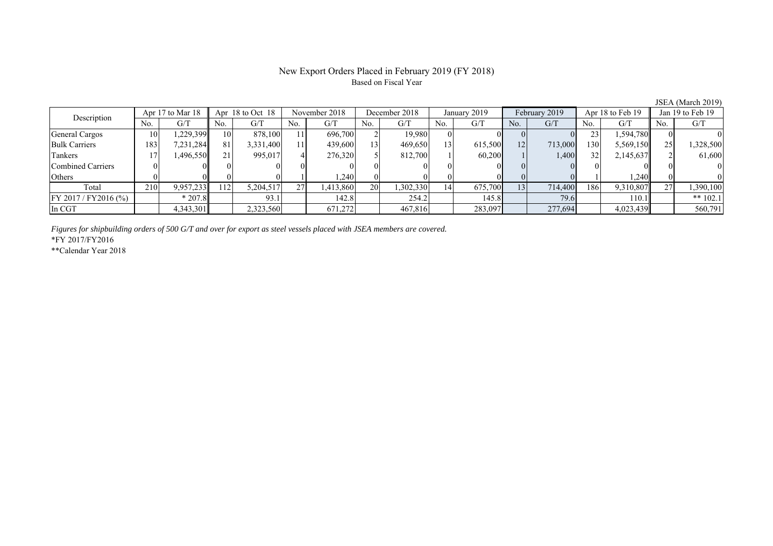# New Export Orders Placed in February 2019 (FY 2018) Based on Fiscal Year

JSEA (March 2019)<br>Jan 19 to Feb 19 No. G/T No. G/T No. G/T No. G/T No. G/T No. G/T No. G/T No. G/T General Cargos ( 10 1,229,399 10 878,100 11 696,700 2 19,980 0 0 0 0 0 23 1,594,780 0 0 Bulk Carriers 183 7,231,284 81 3,331,400 11 439,600 13 469,650 13 615,500 12 713,000 130 5,569,150 25 1,328,500 Tankers | 17 | 1,496,550 || 21 | 995,017 | 4 | 276,320 | 5 | 812,700 | 1 | 60,200 | 1 | 1,400 | 32 | 2,145,637 || 2 | 61,600 Combined Carriers 0 0 0 0 0 0 0 0 0 0 0 0 0 0 0 0 Others ( 0 0 0 0 0 1 1,240 0 0 0 0 0 0 1 1,240 0 0 Total 210 9,957,233 112 5,204,517 27 1,413,860 20 1,302,330 14 675,700 13 714,400 186 9,310,807 27 1,390,100 FY 2017 / FY2016 (%) \* 207.8 93.1 142.8 254.2 145.8 79.6 110.1 \*\* 102.1 In CGT | | 4,343,301 | | 2,323,560 | | 671,272 | | 467,816 | | 283,097 | | 277,694 | | 4,023,439 | | 560,791 Description Apr 17 to Mar 18 || Apr 18 to Oct 18 || November 2018 || December 2018 || January 2019 || February 2019 || Apr 18 to Feb 19

*Figures for shipbuilding orders of 500 G/T and over for export as steel vessels placed with JSEA members are covered.*

\*FY 2017/FY2016

\*\*Calendar Year 2018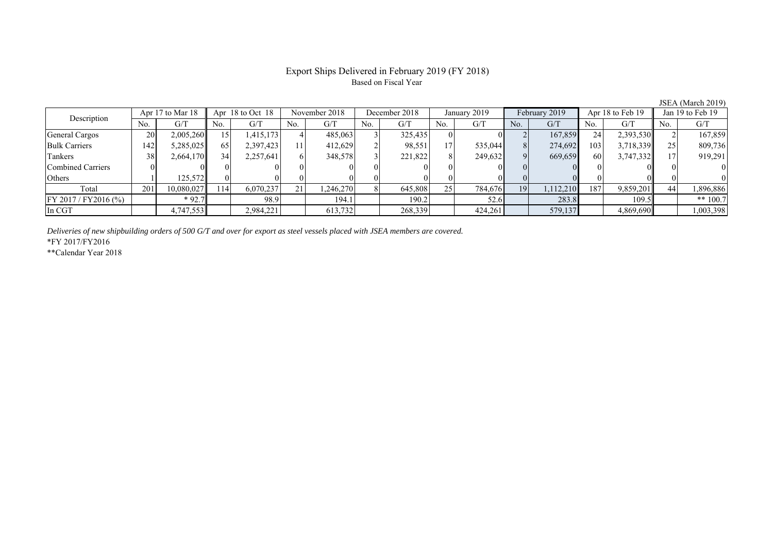# Export Ships Delivered in February 2019 (FY 2018) Based on Fiscal Year

| Description             |     | Apr 17 to Mar 18 |     | Apr $18$ to Oct $18$ |     | November 2018 |     | December 2018 |                | January 2019 |     | February 2019 |     | Apr 18 to Feb 19 |     | Jan 19 to Feb 19 |
|-------------------------|-----|------------------|-----|----------------------|-----|---------------|-----|---------------|----------------|--------------|-----|---------------|-----|------------------|-----|------------------|
|                         | No. | G/T              | No. | G/T                  | No. | G/T           | No. | G/T           | N <sub>0</sub> | G/T          | No. | G/T           | No. | G/T              | No. | G/T              |
| General Cargos          | 20  | 2,005,260        |     | 415,173              |     | 485,063       |     | 325,435       |                |              |     | 167,859       | 24  | 2,393,530        |     | 167,859          |
| <b>Bulk Carriers</b>    | 142 | 5,285,025        | 65  | 2,397,423            |     | 412,629       |     | 98,551        | 17             | 535,044      |     | 274,692       | 103 | 3,718,339        |     | 809,736          |
| Tankers                 | 38  | 2,664,170        | 34  | 2,257,641            |     | 348,578       |     | 221,822       |                | 249,632      |     | 669,659       | 60  | 3,747,332        |     | 919,291          |
| Combined Carriers       |     |                  |     |                      |     |               |     |               |                |              |     |               |     |                  |     |                  |
| Others                  |     | 125,572          |     |                      |     |               |     |               |                |              |     |               |     |                  |     |                  |
| Total                   | 201 | 10,080,027       | 114 | 6.070.237            | 21  | .246.270      |     | 645,808       | 25             | 784,676      | 19  | 1,112,210     | 187 | 9,859,201        | 44  | 1,896,886        |
| $FY 2017 / FY 2016$ (%) |     | $*92.7$          |     | 98.9                 |     | 194.1         |     | 190.2         |                | 52.6         |     | 283.8         |     | 109.5            |     | ** $100.7$       |
| In CGT                  |     | 4,747,553        |     | 2,984,221            |     | 613,732       |     | 268,339       |                | 424,261      |     | 579,137       |     | 4,869,690        |     | 1,003,398        |

*Deliveries of new shipbuilding orders of 500 G/T and over for export as steel vessels placed with JSEA members are covered.*

\*FY 2017/FY2016

\*\*Calendar Year 2018

JSEA (March 2019)